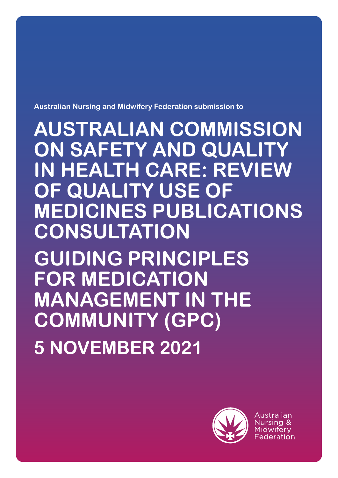**Australian Nursing and Midwifery Federation submission to**

**AUSTRALIAN COMMISSION ON SAFETY AND QUALITY IN HEALTH CARE: REVIEW OF QUALITY USE OF MEDICINES PUBLICATIONS CONSULTATION**

**GUIDING PRINCIPLES FOR MEDICATION MANAGEMENT IN THE COMMUNITY (GPC) 5 NOVEMBER 2021**



Australian Nursing & Midwiferv Federation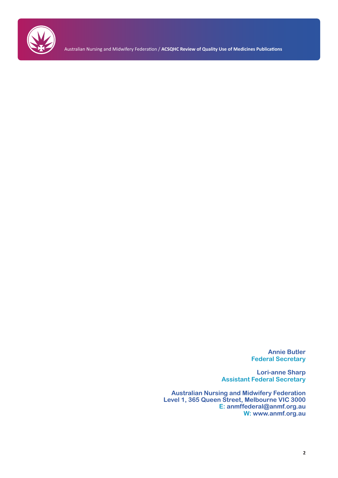

Australian Nursing and Midwifery Federation / **ACSQHC Review of Quality Use of Medicines Publications**

**Annie Butler Federal Secretary**

**Lori-anne Sharp Assistant Federal Secretary**

**Australian Nursing and Midwifery Federation Level 1, 365 Queen Street, Melbourne VIC 3000 E: anmffederal@anmf.org.au W: www.anmf.org.au**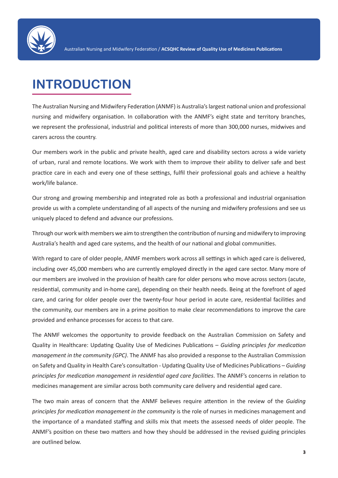

# **INTRODUCTION**

The Australian Nursing and Midwifery Federation (ANMF) is Australia's largest national union and professional nursing and midwifery organisation. In collaboration with the ANMF's eight state and territory branches, we represent the professional, industrial and political interests of more than 300,000 nurses, midwives and carers across the country.

Our members work in the public and private health, aged care and disability sectors across a wide variety of urban, rural and remote locations. We work with them to improve their ability to deliver safe and best practice care in each and every one of these settings, fulfil their professional goals and achieve a healthy work/life balance.

Our strong and growing membership and integrated role as both a professional and industrial organisation provide us with a complete understanding of all aspects of the nursing and midwifery professions and see us uniquely placed to defend and advance our professions.

Through our work with members we aim to strengthen the contribution of nursing and midwifery to improving Australia's health and aged care systems, and the health of our national and global communities.

With regard to care of older people, ANMF members work across all settings in which aged care is delivered, including over 45,000 members who are currently employed directly in the aged care sector. Many more of our members are involved in the provision of health care for older persons who move across sectors (acute, residential, community and in-home care), depending on their health needs. Being at the forefront of aged care, and caring for older people over the twenty-four hour period in acute care, residential facilities and the community, our members are in a prime position to make clear recommendations to improve the care provided and enhance processes for access to that care.

The ANMF welcomes the opportunity to provide feedback on the Australian Commission on Safety and Quality in Healthcare: Updating Quality Use of Medicines Publications – *Guiding principles for medication management in the community (GPC)*. The ANMF has also provided a response to the Australian Commission on Safety and Quality in Health Care's consultation - Updating Quality Use of Medicines Publications – *Guiding principles for medication management in residential aged care facilities*. The ANMF's concerns in relation to medicines management are similar across both community care delivery and residential aged care.

The two main areas of concern that the ANMF believes require attention in the review of the *Guiding principles for medication management in the community* is the role of nurses in medicines management and the importance of a mandated staffing and skills mix that meets the assessed needs of older people. The ANMF's position on these two matters and how they should be addressed in the revised guiding principles are outlined below.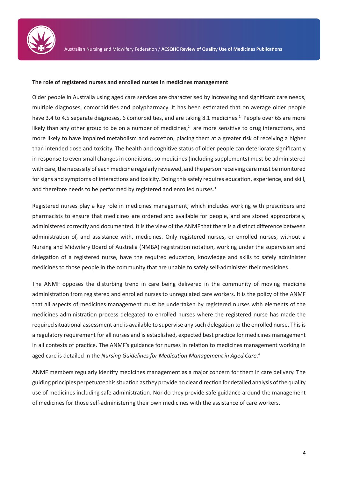

#### **The role of registered nurses and enrolled nurses in medicines management**

Older people in Australia using aged care services are characterised by increasing and significant care needs, multiple diagnoses, comorbidities and polypharmacy. It has been estimated that on average older people have 3.4 to 4.5 separate diagnoses, 6 comorbidities, and are taking 8.1 medicines.<sup>1</sup> People over 65 are more likely than any other group to be on a number of medicines, $^2$  are more sensitive to drug interactions, and more likely to have impaired metabolism and excretion, placing them at a greater risk of receiving a higher than intended dose and toxicity. The health and cognitive status of older people can deteriorate significantly in response to even small changes in conditions, so medicines (including supplements) must be administered with care, the necessity of each medicine regularly reviewed, and the person receiving care must be monitored for signs and symptoms of interactions and toxicity. Doing this safely requires education, experience, and skill, and therefore needs to be performed by registered and enrolled nurses.<sup>3</sup>

Registered nurses play a key role in medicines management, which includes working with prescribers and pharmacists to ensure that medicines are ordered and available for people, and are stored appropriately, administered correctly and documented. It is the view of the ANMF that there is a distinct difference between administration of, and assistance with, medicines. Only registered nurses, or enrolled nurses, without a Nursing and Midwifery Board of Australia (NMBA) registration notation, working under the supervision and delegation of a registered nurse, have the required education, knowledge and skills to safely administer medicines to those people in the community that are unable to safely self-administer their medicines.

The ANMF opposes the disturbing trend in care being delivered in the community of moving medicine administration from registered and enrolled nurses to unregulated care workers. It is the policy of the ANMF that all aspects of medicines management must be undertaken by registered nurses with elements of the medicines administration process delegated to enrolled nurses where the registered nurse has made the required situational assessment and is available to supervise any such delegation to the enrolled nurse. This is a regulatory requirement for all nurses and is established, expected best practice for medicines management in all contexts of practice. The ANMF's guidance for nurses in relation to medicines management working in aged care is detailed in the *Nursing Guidelines for Medication Management in Aged Care*. 4

ANMF members regularly identify medicines management as a major concern for them in care delivery. The guiding principles perpetuate this situation as they provide no clear direction for detailed analysis of the quality use of medicines including safe administration. Nor do they provide safe guidance around the management of medicines for those self-administering their own medicines with the assistance of care workers.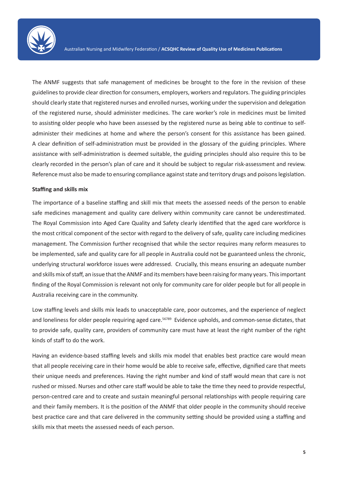

The ANMF suggests that safe management of medicines be brought to the fore in the revision of these guidelines to provide clear direction for consumers, employers, workers and regulators. The guiding principles should clearly state that registered nurses and enrolled nurses, working under the supervision and delegation of the registered nurse, should administer medicines. The care worker's role in medicines must be limited to assisting older people who have been assessed by the registered nurse as being able to continue to selfadminister their medicines at home and where the person's consent for this assistance has been gained. A clear definition of self-administration must be provided in the glossary of the guiding principles. Where assistance with self-administration is deemed suitable, the guiding principles should also require this to be clearly recorded in the person's plan of care and it should be subject to regular risk-assessment and review. Reference must also be made to ensuring compliance against state and territory drugs and poisons legislation.

#### **Staffing and skills mix**

The importance of a baseline staffing and skill mix that meets the assessed needs of the person to enable safe medicines management and quality care delivery within community care cannot be underestimated. The Royal Commission into Aged Care Quality and Safety clearly identified that the aged care workforce is the most critical component of the sector with regard to the delivery of safe, quality care including medicines management. The Commission further recognised that while the sector requires many reform measures to be implemented, safe and quality care for all people in Australia could not be guaranteed unless the chronic, underlying structural workforce issues were addressed. Crucially, this means ensuring an adequate number and skills mix of staff, an issue that the ANMF and its members have been raising for many years. This important finding of the Royal Commission is relevant not only for community care for older people but for all people in Australia receiving care in the community.

Low staffing levels and skills mix leads to unacceptable care, poor outcomes, and the experience of neglect and loneliness for older people requiring aged care.<sup>56789</sup> Evidence upholds, and common-sense dictates, that to provide safe, quality care, providers of community care must have at least the right number of the right kinds of staff to do the work.

Having an evidence-based staffing levels and skills mix model that enables best practice care would mean that all people receiving care in their home would be able to receive safe, effective, dignified care that meets their unique needs and preferences. Having the right number and kind of staff would mean that care is not rushed or missed. Nurses and other care staff would be able to take the time they need to provide respectful, person-centred care and to create and sustain meaningful personal relationships with people requiring care and their family members. It is the position of the ANMF that older people in the community should receive best practice care and that care delivered in the community setting should be provided using a staffing and skills mix that meets the assessed needs of each person.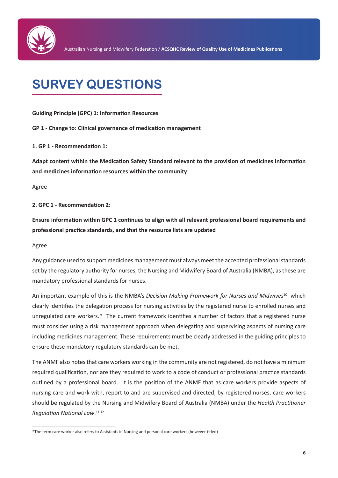

# **SURVEY QUESTIONS**

### **Guiding Principle (GPC) 1: Information Resources**

**GP 1 - Change to: Clinical governance of medication management** 

### **1. GP 1 - Recommendation 1:**

**Adapt content within the Medication Safety Standard relevant to the provision of medicines information and medicines information resources within the community**

Agree

### **2. GPC 1 - Recommendation 2:**

**Ensure information within GPC 1 continues to align with all relevant professional board requirements and professional practice standards, and that the resource lists are updated**

Agree

Any guidance used to support medicines management must always meet the accepted professional standards set by the regulatory authority for nurses, the Nursing and Midwifery Board of Australia (NMBA), as these are mandatory professional standards for nurses.

An important example of this is the NMBA's *Decision Making Framework for Nurses and Midwives*10 which clearly identifies the delegation process for nursing activities by the registered nurse to enrolled nurses and unregulated care workers.\* The current framework identifies a number of factors that a registered nurse must consider using a risk management approach when delegating and supervising aspects of nursing care including medicines management. These requirements must be clearly addressed in the guiding principles to ensure these mandatory regulatory standards can be met.

The ANMF also notes that care workers working in the community are not registered, do not have a minimum required qualification, nor are they required to work to a code of conduct or professional practice standards outlined by a professional board. It is the position of the ANMF that as care workers provide aspects of nursing care and work with, report to and are supervised and directed, by registered nurses, care workers should be regulated by the Nursing and Midwifery Board of Australia (NMBA) under the *Health Practitioner Regulation National Law*. 11 12

<sup>\*</sup>The term care worker also refers to Assistants in Nursing and personal care workers (however titled)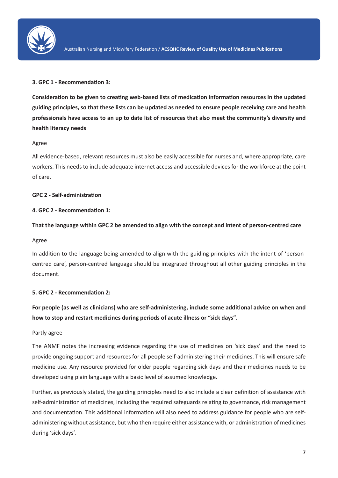

# **3. GPC 1 - Recommendation 3:**

**Consideration to be given to creating web-based lists of medication information resources in the updated guiding principles, so that these lists can be updated as needed to ensure people receiving care and health professionals have access to an up to date list of resources that also meet the community's diversity and health literacy needs**

# Agree

All evidence-based, relevant resources must also be easily accessible for nurses and, where appropriate, care workers. This needs to include adequate internet access and accessible devices for the workforce at the point of care.

# **GPC 2 - Self-administration**

# **4. GPC 2 - Recommendation 1:**

# **That the language within GPC 2 be amended to align with the concept and intent of person-centred care**

### Agree

In addition to the language being amended to align with the guiding principles with the intent of 'personcentred care', person-centred language should be integrated throughout all other guiding principles in the document.

### **5. GPC 2 - Recommendation 2:**

**For people (as well as clinicians) who are self-administering, include some additional advice on when and how to stop and restart medicines during periods of acute illness or "sick days".**

### Partly agree

The ANMF notes the increasing evidence regarding the use of medicines on 'sick days' and the need to provide ongoing support and resources for all people self-administering their medicines. This will ensure safe medicine use. Any resource provided for older people regarding sick days and their medicines needs to be developed using plain language with a basic level of assumed knowledge.

Further, as previously stated, the guiding principles need to also include a clear definition of assistance with self-administration of medicines, including the required safeguards relating to governance, risk management and documentation. This additional information will also need to address guidance for people who are selfadministering without assistance, but who then require either assistance with, or administration of medicines during 'sick days'.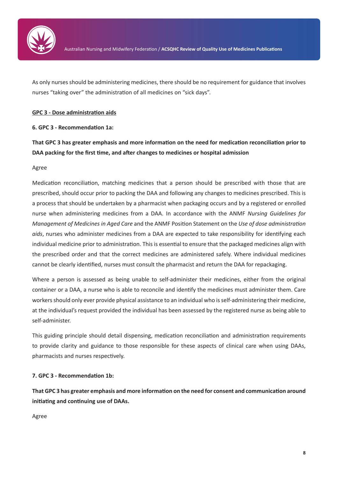

As only nurses should be administering medicines, there should be no requirement for guidance that involves nurses "taking over" the administration of all medicines on "sick days".

### **GPC 3 - Dose administration aids**

### **6. GPC 3 - Recommendation 1a:**

**That GPC 3 has greater emphasis and more information on the need for medication reconciliation prior to DAA packing for the first time, and after changes to medicines or hospital admission**

### Agree

Medication reconciliation, matching medicines that a person should be prescribed with those that are prescribed, should occur prior to packing the DAA and following any changes to medicines prescribed. This is a process that should be undertaken by a pharmacist when packaging occurs and by a registered or enrolled nurse when administering medicines from a DAA. In accordance with the ANMF *Nursing Guidelines for Management of Medicines in Aged Care* and the ANMF Position Statement on the *Use of dose administration aids*, nurses who administer medicines from a DAA are expected to take responsibility for identifying each individual medicine prior to administration. This is essential to ensure that the packaged medicines align with the prescribed order and that the correct medicines are administered safely. Where individual medicines cannot be clearly identified, nurses must consult the pharmacist and return the DAA for repackaging.

Where a person is assessed as being unable to self-administer their medicines, either from the original container or a DAA, a nurse who is able to reconcile and identify the medicines must administer them. Care workers should only ever provide physical assistance to an individual who is self-administering their medicine, at the individual's request provided the individual has been assessed by the registered nurse as being able to self-administer.

This guiding principle should detail dispensing, medication reconciliation and administration requirements to provide clarity and guidance to those responsible for these aspects of clinical care when using DAAs, pharmacists and nurses respectively.

# **7. GPC 3 - Recommendation 1b:**

**That GPC 3 has greater emphasis and more information on the need for consent and communication around initiating and continuing use of DAAs.**

Agree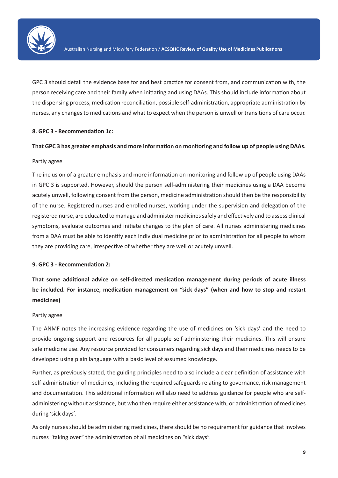

GPC 3 should detail the evidence base for and best practice for consent from, and communication with, the person receiving care and their family when initiating and using DAAs. This should include information about the dispensing process, medication reconciliation, possible self-administration, appropriate administration by nurses, any changes to medications and what to expect when the person is unwell or transitions of care occur.

### **8. GPC 3 - Recommendation 1c:**

#### **That GPC 3 has greater emphasis and more information on monitoring and follow up of people using DAAs.**

#### Partly agree

The inclusion of a greater emphasis and more information on monitoring and follow up of people using DAAs in GPC 3 is supported. However, should the person self-administering their medicines using a DAA become acutely unwell, following consent from the person, medicine administration should then be the responsibility of the nurse. Registered nurses and enrolled nurses, working under the supervision and delegation of the registered nurse, are educated to manage and administer medicines safely and effectively and to assess clinical symptoms, evaluate outcomes and initiate changes to the plan of care. All nurses administering medicines from a DAA must be able to identify each individual medicine prior to administration for all people to whom they are providing care, irrespective of whether they are well or acutely unwell.

#### **9. GPC 3 - Recommendation 2:**

**That some additional advice on self-directed medication management during periods of acute illness be included. For instance, medication management on "sick days" (when and how to stop and restart medicines)**

#### Partly agree

The ANMF notes the increasing evidence regarding the use of medicines on 'sick days' and the need to provide ongoing support and resources for all people self-administering their medicines. This will ensure safe medicine use. Any resource provided for consumers regarding sick days and their medicines needs to be developed using plain language with a basic level of assumed knowledge.

Further, as previously stated, the guiding principles need to also include a clear definition of assistance with self-administration of medicines, including the required safeguards relating to governance, risk management and documentation. This additional information will also need to address guidance for people who are selfadministering without assistance, but who then require either assistance with, or administration of medicines during 'sick days'.

As only nurses should be administering medicines, there should be no requirement for guidance that involves nurses "taking over" the administration of all medicines on "sick days".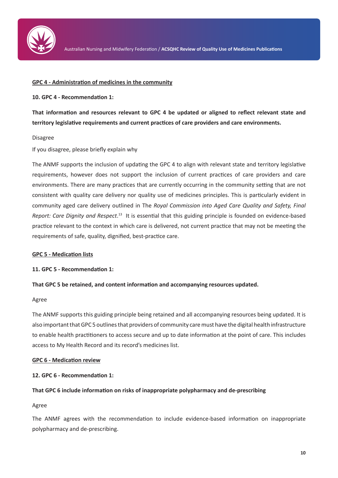

#### **GPC 4 - Administration of medicines in the community**

#### **10. GPC 4 - Recommendation 1:**

**That information and resources relevant to GPC 4 be updated or aligned to reflect relevant state and territory legislative requirements and current practices of care providers and care environments.**

#### Disagree

If you disagree, please briefly explain why

The ANMF supports the inclusion of updating the GPC 4 to align with relevant state and territory legislative requirements, however does not support the inclusion of current practices of care providers and care environments. There are many practices that are currently occurring in the community setting that are not consistent with quality care delivery nor quality use of medicines principles. This is particularly evident in community aged care delivery outlined in The *Royal Commission into Aged Care Quality and Safety, Final*  Report: Care Dignity and Respect.<sup>13</sup> It is essential that this guiding principle is founded on evidence-based practice relevant to the context in which care is delivered, not current practice that may not be meeting the requirements of safe, quality, dignified, best-practice care.

### **GPC 5 - Medication lists**

#### **11. GPC 5 - Recommendation 1:**

### **That GPC 5 be retained, and content information and accompanying resources updated.**

#### Agree

The ANMF supports this guiding principle being retained and all accompanying resources being updated. It is also important that GPC 5 outlines that providers of community care must have the digital health infrastructure to enable health practitioners to access secure and up to date information at the point of care. This includes access to My Health Record and its record's medicines list.

### **GPC 6 - Medication review**

### **12. GPC 6 - Recommendation 1:**

### **That GPC 6 include information on risks of inappropriate polypharmacy and de-prescribing**

### Agree

The ANMF agrees with the recommendation to include evidence-based information on inappropriate polypharmacy and de-prescribing.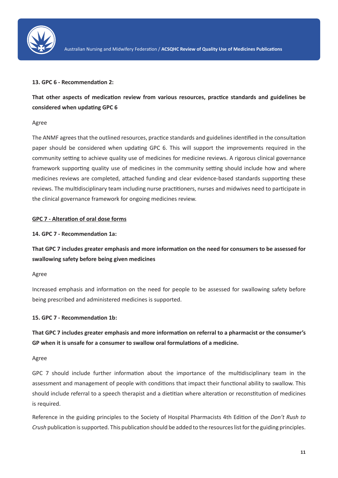

#### **13. GPC 6 - Recommendation 2:**

**That other aspects of medication review from various resources, practice standards and guidelines be considered when updating GPC 6**

#### Agree

The ANMF agrees that the outlined resources, practice standards and guidelines identified in the consultation paper should be considered when updating GPC 6. This will support the improvements required in the community setting to achieve quality use of medicines for medicine reviews. A rigorous clinical governance framework supporting quality use of medicines in the community setting should include how and where medicines reviews are completed, attached funding and clear evidence-based standards supporting these reviews. The multidisciplinary team including nurse practitioners, nurses and midwives need to participate in the clinical governance framework for ongoing medicines review.

#### **GPC 7 - Alteration of oral dose forms**

#### **14. GPC 7 - Recommendation 1a:**

**That GPC 7 includes greater emphasis and more information on the need for consumers to be assessed for swallowing safety before being given medicines**

#### Agree

Increased emphasis and information on the need for people to be assessed for swallowing safety before being prescribed and administered medicines is supported.

### **15. GPC 7 - Recommendation 1b:**

**That GPC 7 includes greater emphasis and more information on referral to a pharmacist or the consumer's GP when it is unsafe for a consumer to swallow oral formulations of a medicine.**

#### Agree

GPC 7 should include further information about the importance of the multidisciplinary team in the assessment and management of people with conditions that impact their functional ability to swallow. This should include referral to a speech therapist and a dietitian where alteration or reconstitution of medicines is required.

Reference in the guiding principles to the Society of Hospital Pharmacists 4th Edition of the *Don't Rush to Crush* publication is supported. This publication should be added to the resources list for the guiding principles.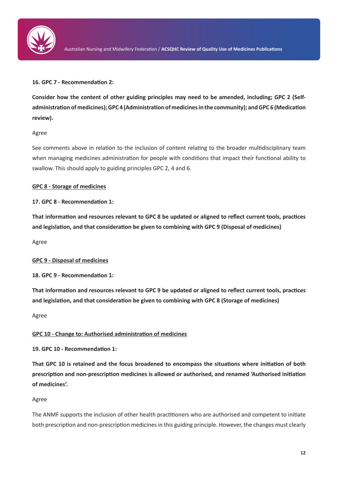

# **16. GPC 7 - Recommendation 2:**

**Consider how the content of other guiding principles may need to be amended, including; GPC 2 (Selfadministration of medicines); GPC 4 (Administration of medicines in the community); and GPC 6 (Medication review).**

### Agree

See comments above in relation to the inclusion of content relating to the broader multidisciplinary team when managing medicines administration for people with conditions that impact their functional ability to swallow. This should apply to guiding principles GPC 2, 4 and 6.

# **GPC 8 - Storage of medicines**

# **17. GPC 8 - Recommendation 1:**

**That information and resources relevant to GPC 8 be updated or aligned to reflect current tools, practices and legislation, and that consideration be given to combining with GPC 9 (Disposal of medicines)**

Agree

# **GPC 9 - Disposal of medicines**

**18. GPC 9 - Recommendation 1:**

**That information and resources relevant to GPC 9 be updated or aligned to reflect current tools, practices and legislation, and that consideration be given to combining with GPC 8 (Storage of medicines)**

Agree

# **GPC 10 - Change to: Authorised administration of medicines**

**19. GPC 10 - Recommendation 1:**

**That GPC 10 is retained and the focus broadened to encompass the situations where initiation of both prescription and non-prescription medicines is allowed or authorised, and renamed 'Authorised initiation of medicines'.**

Agree

The ANMF supports the inclusion of other health practitioners who are authorised and competent to initiate both prescription and non-prescription medicines in this guiding principle. However, the changes must clearly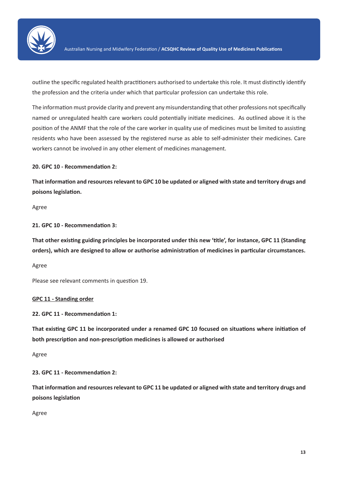

outline the specific regulated health practitioners authorised to undertake this role. It must distinctly identify the profession and the criteria under which that particular profession can undertake this role.

The information must provide clarity and prevent any misunderstanding that other professions not specifically named or unregulated health care workers could potentially initiate medicines. As outlined above it is the position of the ANMF that the role of the care worker in quality use of medicines must be limited to assisting residents who have been assessed by the registered nurse as able to self-administer their medicines. Care workers cannot be involved in any other element of medicines management.

**20. GPC 10 - Recommendation 2:**

**That information and resources relevant to GPC 10 be updated or aligned with state and territory drugs and poisons legislation.**

Agree

**21. GPC 10 - Recommendation 3:**

**That other existing guiding principles be incorporated under this new 'title', for instance, GPC 11 (Standing orders), which are designed to allow or authorise administration of medicines in particular circumstances.**

Agree

Please see relevant comments in question 19.

**GPC 11 - Standing order**

**22. GPC 11 - Recommendation 1:**

**That existing GPC 11 be incorporated under a renamed GPC 10 focused on situations where initiation of both prescription and non-prescription medicines is allowed or authorised**

Agree

**23. GPC 11 - Recommendation 2:**

**That information and resources relevant to GPC 11 be updated or aligned with state and territory drugs and poisons legislation**

Agree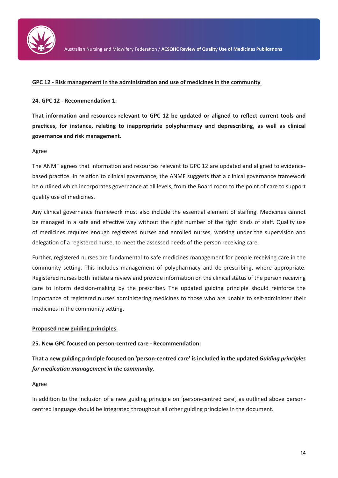

#### **GPC 12 - Risk management in the administration and use of medicines in the community**

### **24. GPC 12 - Recommendation 1:**

**That information and resources relevant to GPC 12 be updated or aligned to reflect current tools and practices, for instance, relating to inappropriate polypharmacy and deprescribing, as well as clinical governance and risk management.**

#### Agree

The ANMF agrees that information and resources relevant to GPC 12 are updated and aligned to evidencebased practice. In relation to clinical governance, the ANMF suggests that a clinical governance framework be outlined which incorporates governance at all levels, from the Board room to the point of care to support quality use of medicines.

Any clinical governance framework must also include the essential element of staffing. Medicines cannot be managed in a safe and effective way without the right number of the right kinds of staff. Quality use of medicines requires enough registered nurses and enrolled nurses, working under the supervision and delegation of a registered nurse, to meet the assessed needs of the person receiving care.

Further, registered nurses are fundamental to safe medicines management for people receiving care in the community setting. This includes management of polypharmacy and de-prescribing, where appropriate. Registered nurses both initiate a review and provide information on the clinical status of the person receiving care to inform decision-making by the prescriber. The updated guiding principle should reinforce the importance of registered nurses administering medicines to those who are unable to self-administer their medicines in the community setting.

#### **Proposed new guiding principles**

### **25. New GPC focused on person-centred care - Recommendation:**

**That a new guiding principle focused on 'person-centred care' is included in the updated** *Guiding principles for medication management in the community.*

#### Agree

In addition to the inclusion of a new guiding principle on 'person-centred care', as outlined above personcentred language should be integrated throughout all other guiding principles in the document.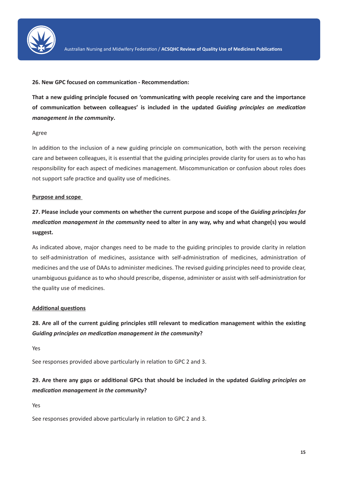

#### **26. New GPC focused on communication - Recommendation:**

**That a new guiding principle focused on 'communicating with people receiving care and the importance of communication between colleagues' is included in the updated** *Guiding principles on medication management in the community***.**

#### Agree

In addition to the inclusion of a new guiding principle on communication, both with the person receiving care and between colleagues, it is essential that the guiding principles provide clarity for users as to who has responsibility for each aspect of medicines management. Miscommunication or confusion about roles does not support safe practice and quality use of medicines.

### **Purpose and scope**

# **27. Please include your comments on whether the current purpose and scope of the** *Guiding principles for medication management in the community* **need to alter in any way, why and what change(s) you would suggest.**

As indicated above, major changes need to be made to the guiding principles to provide clarity in relation to self-administration of medicines, assistance with self-administration of medicines, administration of medicines and the use of DAAs to administer medicines. The revised guiding principles need to provide clear, unambiguous guidance as to who should prescribe, dispense, administer or assist with self-administration for the quality use of medicines.

# **Additional questions**

# **28. Are all of the current guiding principles still relevant to medication management within the existing**  *Guiding principles on medication management in the community***?**

Yes

See responses provided above particularly in relation to GPC 2 and 3.

# **29. Are there any gaps or additional GPCs that should be included in the updated** *Guiding principles on medication management in the community***?**

Yes

See responses provided above particularly in relation to GPC 2 and 3.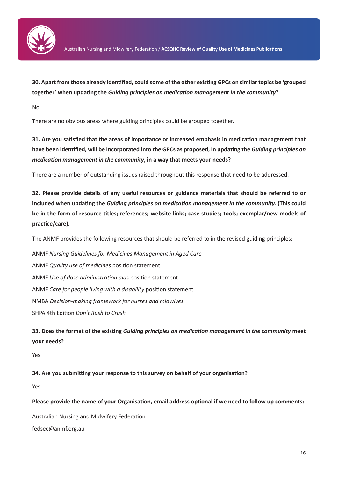

**30. Apart from those already identified, could some of the other existing GPCs on similar topics be 'grouped together' when updating the** *Guiding principles on medication management in the community***?**

No

There are no obvious areas where guiding principles could be grouped together.

**31. Are you satisfied that the areas of importance or increased emphasis in medication management that have been identified, will be incorporated into the GPCs as proposed, in updating the** *Guiding principles on medication management in the community***, in a way that meets your needs?**

There are a number of outstanding issues raised throughout this response that need to be addressed.

**32. Please provide details of any useful resources or guidance materials that should be referred to or included when updating the** *Guiding principles on medication management in the community.* **(This could be in the form of resource titles; references; website links; case studies; tools; exemplar/new models of practice/care).**

The ANMF provides the following resources that should be referred to in the revised guiding principles:

ANMF *Nursing Guidelines for Medicines Management in Aged Care* ANMF *Quality use of medicines* position statement ANMF *Use of dose administration aids* position statement ANMF *Care for people living with a disability* position statement NMBA *Decision-making framework for nurses and midwives* SHPA 4th Edition *Don't Rush to Crush*

**33. Does the format of the existing** *Guiding principles on medication management in the community* **meet your needs?**

Yes

**34. Are you submitting your response to this survey on behalf of your organisation?** 

Yes

**Please provide the name of your Organisation, email address optional if we need to follow up comments:**

Australian Nursing and Midwifery Federation

fedsec@anmf.org.au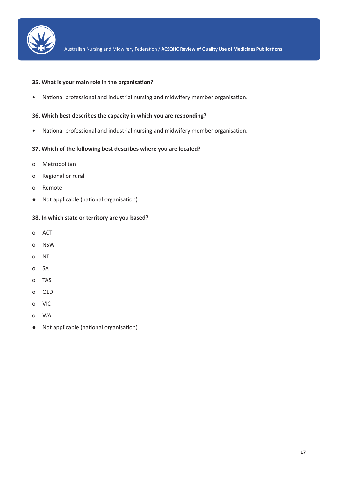

#### **35. What is your main role in the organisation?**

• National professional and industrial nursing and midwifery member organisation.

# **36. Which best describes the capacity in which you are responding?**

• National professional and industrial nursing and midwifery member organisation.

#### **37. Which of the following best describes where you are located?**

- o Metropolitan
- o Regional or rural
- o Remote
- Not applicable (national organisation)

### **38. In which state or territory are you based?**

- o ACT
- o NSW
- o NT
- o SA
- o TAS
- o QLD
- o VIC
- o WA
- Not applicable (national organisation)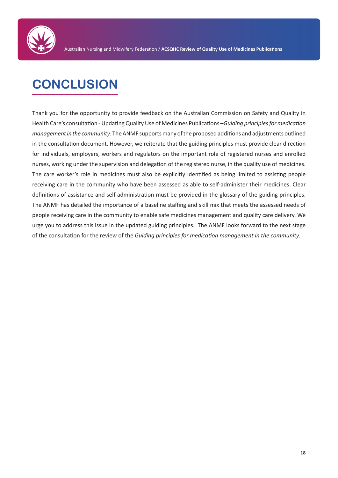

# **CONCLUSION**

Thank you for the opportunity to provide feedback on the Australian Commission on Safety and Quality in Health Care's consultation - Updating Quality Use of Medicines Publications –*Guiding principles for medication management in the community*. The ANMF supports many of the proposed additions and adjustments outlined in the consultation document. However, we reiterate that the guiding principles must provide clear direction for individuals, employers, workers and regulators on the important role of registered nurses and enrolled nurses, working under the supervision and delegation of the registered nurse, in the quality use of medicines. The care worker's role in medicines must also be explicitly identified as being limited to assisting people receiving care in the community who have been assessed as able to self-administer their medicines. Clear definitions of assistance and self-administration must be provided in the glossary of the guiding principles. The ANMF has detailed the importance of a baseline staffing and skill mix that meets the assessed needs of people receiving care in the community to enable safe medicines management and quality care delivery. We urge you to address this issue in the updated guiding principles. The ANMF looks forward to the next stage of the consultation for the review of the *Guiding principles for medication management in the community*.